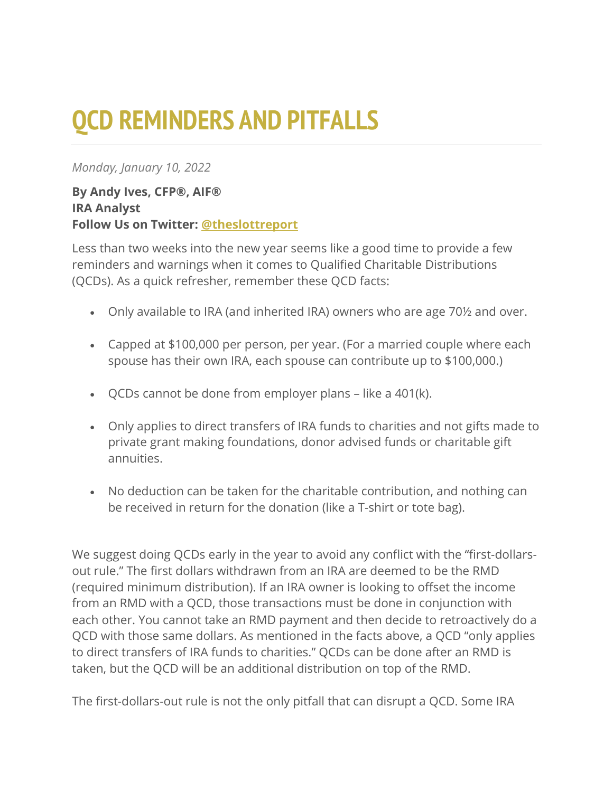## **QCD REMINDERS AND PITFALLS**

## *Monday, January 10, 2022*

## **By Andy Ives, CFP®, AIF® IRA Analyst Follow Us on Twitter: [@theslottreport](https://twitter.com/theslottreport)**

Less than two weeks into the new year seems like a good time to provide a few reminders and warnings when it comes to Qualified Charitable Distributions (QCDs). As a quick refresher, remember these QCD facts:

- Only available to IRA (and inherited IRA) owners who are age 70½ and over.
- Capped at \$100,000 per person, per year. (For a married couple where each spouse has their own IRA, each spouse can contribute up to \$100,000.)
- QCDs cannot be done from employer plans like a 401(k).
- Only applies to direct transfers of IRA funds to charities and not gifts made to private grant making foundations, donor advised funds or charitable gift annuities.
- No deduction can be taken for the charitable contribution, and nothing can be received in return for the donation (like a T-shirt or tote bag).

We suggest doing QCDs early in the year to avoid any conflict with the "first-dollarsout rule." The first dollars withdrawn from an IRA are deemed to be the RMD (required minimum distribution). If an IRA owner is looking to offset the income from an RMD with a QCD, those transactions must be done in conjunction with each other. You cannot take an RMD payment and then decide to retroactively do a QCD with those same dollars. As mentioned in the facts above, a QCD "only applies to direct transfers of IRA funds to charities." QCDs can be done after an RMD is taken, but the QCD will be an additional distribution on top of the RMD.

The first-dollars-out rule is not the only pitfall that can disrupt a QCD. Some IRA